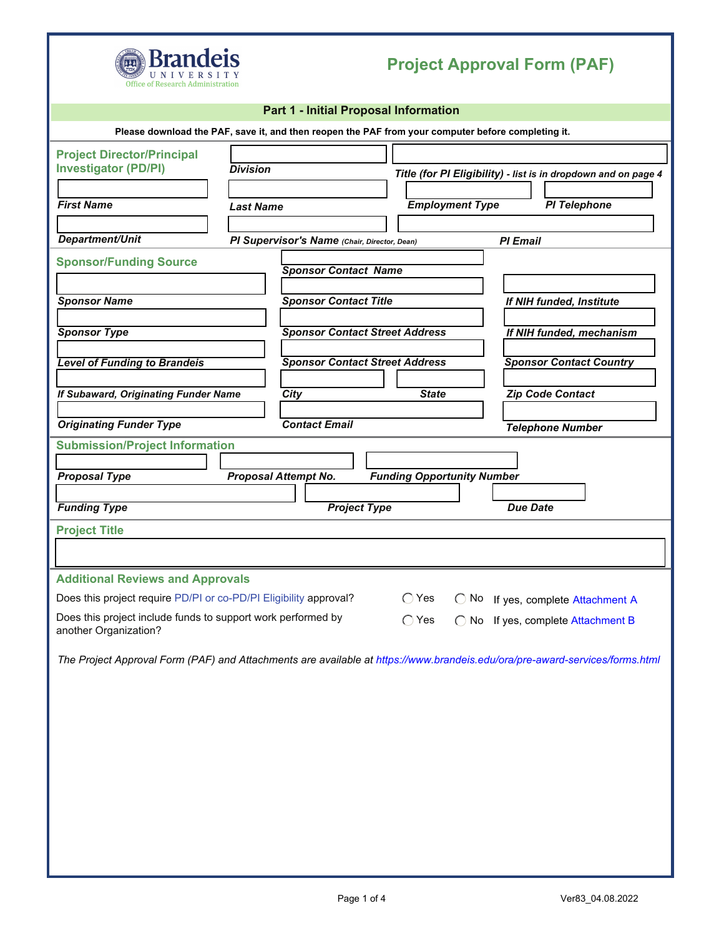

## **Project Approval Form (PAF)**

|                                                                                                    |                                       | Part 1 - Initial Proposal Information        |                                   |                                |                                                                                                                             |  |
|----------------------------------------------------------------------------------------------------|---------------------------------------|----------------------------------------------|-----------------------------------|--------------------------------|-----------------------------------------------------------------------------------------------------------------------------|--|
| Please download the PAF, save it, and then reopen the PAF from your computer before completing it. |                                       |                                              |                                   |                                |                                                                                                                             |  |
| <b>Project Director/Principal</b><br><b>Investigator (PD/PI)</b><br><b>First Name</b>              | <b>Division</b><br><b>Last Name</b>   |                                              |                                   | <b>Employment Type</b>         | Title (for PI Eligibility) - list is in dropdown and on page 4<br><b>PI Telephone</b>                                       |  |
|                                                                                                    |                                       |                                              |                                   |                                |                                                                                                                             |  |
| Department/Unit                                                                                    |                                       | PI Supervisor's Name (Chair, Director, Dean) |                                   |                                | <b>PI Email</b>                                                                                                             |  |
| <b>Sponsor/Funding Source</b>                                                                      |                                       | <b>Sponsor Contact Name</b>                  |                                   |                                |                                                                                                                             |  |
| <b>Sponsor Name</b>                                                                                | <b>Sponsor Contact Title</b>          |                                              |                                   | If NIH funded, Institute       |                                                                                                                             |  |
| <b>Sponsor Type</b>                                                                                | <b>Sponsor Contact Street Address</b> |                                              |                                   | If NIH funded, mechanism       |                                                                                                                             |  |
| <b>Level of Funding to Brandeis</b>                                                                | <b>Sponsor Contact Street Address</b> |                                              |                                   | <b>Sponsor Contact Country</b> |                                                                                                                             |  |
| If Subaward, Originating Funder Name                                                               |                                       | City                                         | <b>State</b>                      |                                | Zip Code Contact                                                                                                            |  |
| <b>Originating Funder Type</b>                                                                     |                                       | <b>Contact Email</b>                         |                                   |                                | <b>Telephone Number</b>                                                                                                     |  |
| <b>Submission/Project Information</b>                                                              |                                       |                                              |                                   |                                |                                                                                                                             |  |
| <b>Proposal Type</b>                                                                               |                                       | Proposal Attempt No.                         | <b>Funding Opportunity Number</b> |                                |                                                                                                                             |  |
|                                                                                                    |                                       |                                              |                                   |                                |                                                                                                                             |  |
| <b>Funding Type</b>                                                                                |                                       | <b>Project Type</b>                          |                                   |                                | <b>Due Date</b>                                                                                                             |  |
| <b>Project Title</b>                                                                               |                                       |                                              |                                   |                                |                                                                                                                             |  |
|                                                                                                    |                                       |                                              |                                   |                                |                                                                                                                             |  |
| <b>Additional Reviews and Approvals</b>                                                            |                                       |                                              |                                   |                                |                                                                                                                             |  |
| Does this project require PD/PI or co-PD/PI Eligibility approval?                                  |                                       |                                              | $\bigcirc$ Yes                    |                                | ◯ No If yes, complete Attachment A                                                                                          |  |
| Does this project include funds to support work performed by<br>another Organization?              |                                       |                                              | $\bigcirc$ Yes                    |                                | ◯ No If yes, complete Attachment B                                                                                          |  |
|                                                                                                    |                                       |                                              |                                   |                                | The Project Approval Form (PAF) and Attachments are available at https://www.brandeis.edu/ora/pre-award-services/forms.html |  |
|                                                                                                    |                                       |                                              |                                   |                                |                                                                                                                             |  |
|                                                                                                    |                                       |                                              |                                   |                                |                                                                                                                             |  |
|                                                                                                    |                                       |                                              |                                   |                                |                                                                                                                             |  |
|                                                                                                    |                                       |                                              |                                   |                                |                                                                                                                             |  |
|                                                                                                    |                                       |                                              |                                   |                                |                                                                                                                             |  |
|                                                                                                    |                                       |                                              |                                   |                                |                                                                                                                             |  |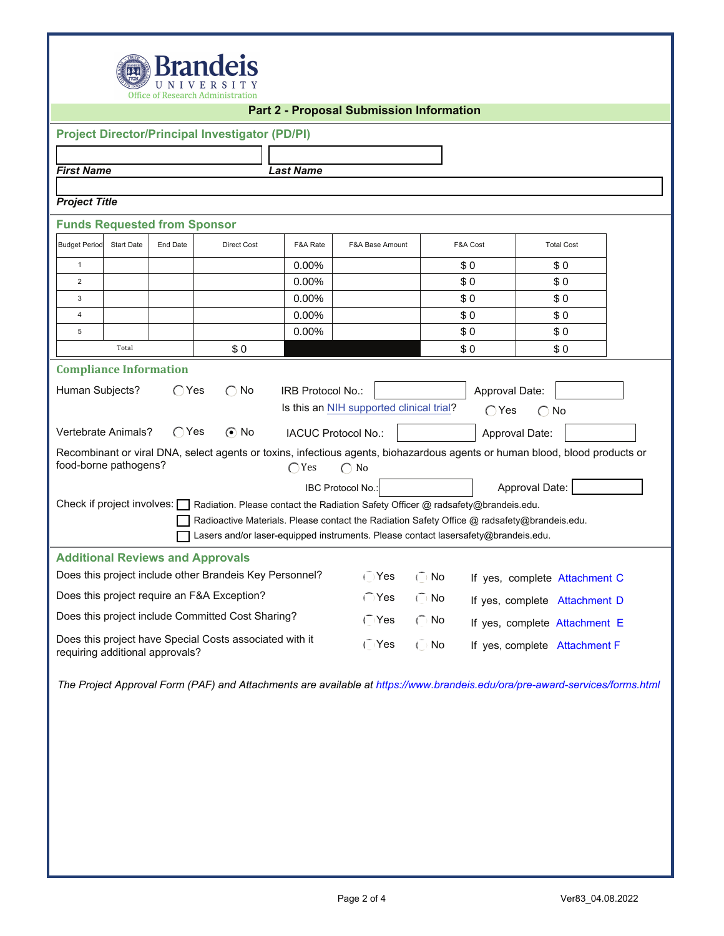

|                                     |                   |                | <b>Project Director/Principal Investigator (PD/PI)</b>                                                                      |                          |                                          |           |                |                               |  |
|-------------------------------------|-------------------|----------------|-----------------------------------------------------------------------------------------------------------------------------|--------------------------|------------------------------------------|-----------|----------------|-------------------------------|--|
|                                     |                   |                |                                                                                                                             |                          |                                          |           |                |                               |  |
| <b>First Name</b>                   |                   |                |                                                                                                                             | <b>Last Name</b>         |                                          |           |                |                               |  |
|                                     |                   |                |                                                                                                                             |                          |                                          |           |                |                               |  |
| <b>Project Title</b>                |                   |                |                                                                                                                             |                          |                                          |           |                |                               |  |
| <b>Funds Requested from Sponsor</b> |                   |                |                                                                                                                             |                          |                                          |           |                |                               |  |
| <b>Budget Period</b>                | <b>Start Date</b> | End Date       | <b>Direct Cost</b>                                                                                                          | F&A Rate                 | F&A Base Amount                          |           | F&A Cost       | <b>Total Cost</b>             |  |
| $\mathbf{1}$                        |                   |                |                                                                                                                             | 0.00%                    |                                          |           | \$0            | \$0                           |  |
| 2                                   |                   |                |                                                                                                                             | 0.00%                    |                                          |           | \$0            | \$0                           |  |
| 3                                   |                   |                |                                                                                                                             | 0.00%                    |                                          |           | \$0            | \$0                           |  |
| $\overline{4}$                      |                   |                |                                                                                                                             | 0.00%                    |                                          |           | \$0            | \$0                           |  |
| 5                                   |                   |                |                                                                                                                             | 0.00%                    |                                          |           | \$0            | \$0                           |  |
|                                     | Total             |                | \$0                                                                                                                         |                          |                                          |           | \$0            | \$0                           |  |
| <b>Compliance Information</b>       |                   |                |                                                                                                                             |                          |                                          |           |                |                               |  |
|                                     |                   |                |                                                                                                                             |                          |                                          |           |                |                               |  |
| Human Subjects?                     |                   | $\bigcirc$ Yes | $\bigcap$ No                                                                                                                | <b>IRB Protocol No.:</b> |                                          |           | Approval Date: |                               |  |
|                                     |                   |                |                                                                                                                             |                          | Is this an NIH supported clinical trial? |           | $\bigcap$ Yes  | $\bigcap$ No                  |  |
| Vertebrate Animals?                 |                   | $\bigcirc$ Yes | $\odot$ No                                                                                                                  |                          | IACUC Protocol No.:                      |           | Approval Date: |                               |  |
|                                     |                   |                | Recombinant or viral DNA, select agents or toxins, infectious agents, biohazardous agents or human blood, blood products or |                          |                                          |           |                |                               |  |
| food-borne pathogens?               |                   |                |                                                                                                                             | $\bigcap$ Yes            | $\bigcirc$ No                            |           |                |                               |  |
|                                     |                   |                |                                                                                                                             |                          | IBC Protocol No.:                        |           |                | Approval Date:                |  |
|                                     |                   |                | Check if project involves: Radiation. Please contact the Radiation Safety Officer @ radsafety@brandeis.edu.                 |                          |                                          |           |                |                               |  |
|                                     |                   |                | Radioactive Materials. Please contact the Radiation Safety Office @ radsafety@brandeis.edu.                                 |                          |                                          |           |                |                               |  |
|                                     |                   |                | Lasers and/or laser-equipped instruments. Please contact lasersafety@brandeis.edu.                                          |                          |                                          |           |                |                               |  |
|                                     |                   |                | <b>Additional Reviews and Approvals</b>                                                                                     |                          |                                          |           |                |                               |  |
|                                     |                   |                | Does this project include other Brandeis Key Personnel?                                                                     |                          | $\overline{\bigcap}$ Yes                 | $\cap$ No |                | If yes, complete Attachment C |  |
|                                     |                   |                | Does this project require an F&A Exception?                                                                                 |                          | $\cap$ Yes                               | $\cap$ No |                | If yes, complete Attachment D |  |
|                                     |                   |                | Does this project include Committed Cost Sharing?                                                                           |                          | $\cap$ Yes                               | $\cap$ No |                | If yes, complete Attachment E |  |
| requiring additional approvals?     |                   |                | Does this project have Special Costs associated with it                                                                     |                          | $\sqrt{ }$ Yes                           | (No       |                | If yes, complete Attachment F |  |

*The Project Approval Form (PAF) and Attachments are available at<https://www.brandeis.edu/ora/pre-award-services/forms.html>*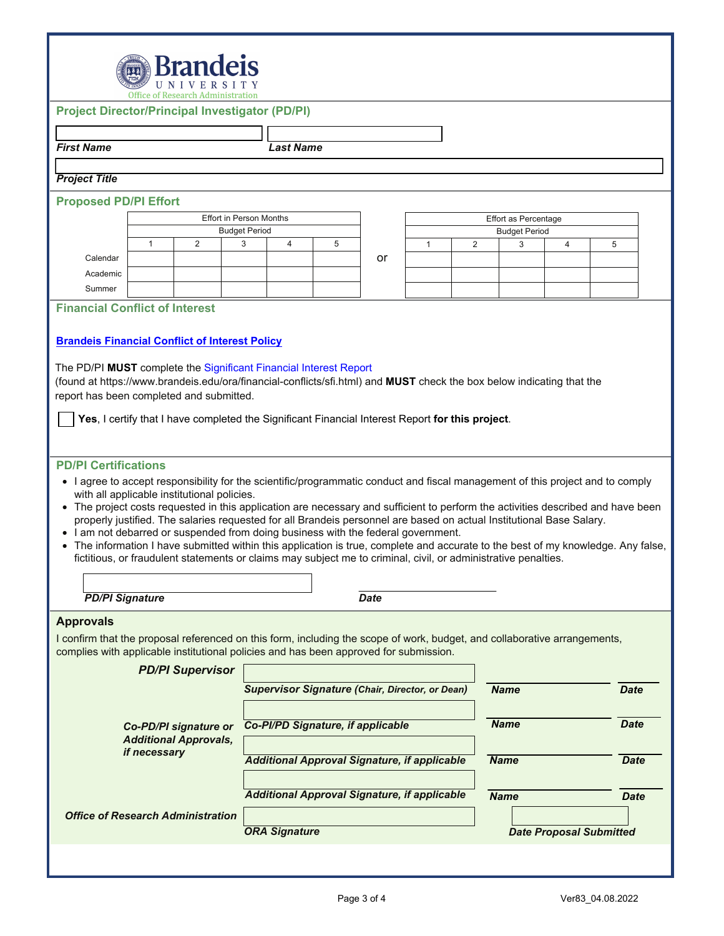| <b>Brandeis</b> |                    |  |  |  |  |  |
|-----------------|--------------------|--|--|--|--|--|
|                 | <i></i> UNIVERSITY |  |  |  |  |  |

|                                                                                                                                                                                                                                                                                                                                                                                                                                                                                                                                 | <b>Office of Research Administration</b>                                                         |   |                                |                                   |             |                                                        |   |                      |   |                                                                                                                                |  |
|---------------------------------------------------------------------------------------------------------------------------------------------------------------------------------------------------------------------------------------------------------------------------------------------------------------------------------------------------------------------------------------------------------------------------------------------------------------------------------------------------------------------------------|--------------------------------------------------------------------------------------------------|---|--------------------------------|-----------------------------------|-------------|--------------------------------------------------------|---|----------------------|---|--------------------------------------------------------------------------------------------------------------------------------|--|
| <b>Project Director/Principal Investigator (PD/PI)</b>                                                                                                                                                                                                                                                                                                                                                                                                                                                                          |                                                                                                  |   |                                |                                   |             |                                                        |   |                      |   |                                                                                                                                |  |
|                                                                                                                                                                                                                                                                                                                                                                                                                                                                                                                                 |                                                                                                  |   |                                |                                   |             |                                                        |   |                      |   |                                                                                                                                |  |
| <b>First Name</b>                                                                                                                                                                                                                                                                                                                                                                                                                                                                                                               |                                                                                                  |   |                                | <b>Last Name</b>                  |             |                                                        |   |                      |   |                                                                                                                                |  |
| <b>Project Title</b>                                                                                                                                                                                                                                                                                                                                                                                                                                                                                                            |                                                                                                  |   |                                |                                   |             |                                                        |   |                      |   |                                                                                                                                |  |
| <b>Proposed PD/PI Effort</b>                                                                                                                                                                                                                                                                                                                                                                                                                                                                                                    |                                                                                                  |   |                                |                                   |             |                                                        |   |                      |   |                                                                                                                                |  |
|                                                                                                                                                                                                                                                                                                                                                                                                                                                                                                                                 |                                                                                                  |   | <b>Effort in Person Months</b> |                                   |             |                                                        |   | Effort as Percentage |   |                                                                                                                                |  |
|                                                                                                                                                                                                                                                                                                                                                                                                                                                                                                                                 |                                                                                                  |   | <b>Budget Period</b>           |                                   |             | <b>Budget Period</b>                                   |   |                      |   |                                                                                                                                |  |
|                                                                                                                                                                                                                                                                                                                                                                                                                                                                                                                                 | 1                                                                                                | 2 | 3<br>4                         | 5                                 |             | $\mathbf{1}$                                           | 2 | 3                    | 4 | 5                                                                                                                              |  |
| Calendar                                                                                                                                                                                                                                                                                                                                                                                                                                                                                                                        |                                                                                                  |   |                                |                                   | or          |                                                        |   |                      |   |                                                                                                                                |  |
| Academic                                                                                                                                                                                                                                                                                                                                                                                                                                                                                                                        |                                                                                                  |   |                                |                                   |             |                                                        |   |                      |   |                                                                                                                                |  |
| Summer                                                                                                                                                                                                                                                                                                                                                                                                                                                                                                                          |                                                                                                  |   |                                |                                   |             |                                                        |   |                      |   |                                                                                                                                |  |
| <b>Financial Conflict of Interest</b>                                                                                                                                                                                                                                                                                                                                                                                                                                                                                           |                                                                                                  |   |                                |                                   |             |                                                        |   |                      |   |                                                                                                                                |  |
| (found at https://www.brandeis.edu/ora/financial-conflicts/sfi.html) and MUST check the box below indicating that the<br>report has been completed and submitted.                                                                                                                                                                                                                                                                                                                                                               | Yes, I certify that I have completed the Significant Financial Interest Report for this project. |   |                                |                                   |             |                                                        |   |                      |   |                                                                                                                                |  |
| • I agree to accept responsibility for the scientific/programmatic conduct and fiscal management of this project and to comply<br>with all applicable institutional policies.<br>properly justified. The salaries requested for all Brandeis personnel are based on actual Institutional Base Salary.<br>• I am not debarred or suspended from doing business with the federal government.<br>• The information I have submitted within this application is true, complete and accurate to the best of my knowledge. Any false, |                                                                                                  |   |                                |                                   |             |                                                        |   |                      |   | The project costs requested in this application are necessary and sufficient to perform the activities described and have been |  |
| fictitious, or fraudulent statements or claims may subject me to criminal, civil, or administrative penalties.                                                                                                                                                                                                                                                                                                                                                                                                                  |                                                                                                  |   |                                |                                   |             |                                                        |   |                      |   |                                                                                                                                |  |
|                                                                                                                                                                                                                                                                                                                                                                                                                                                                                                                                 |                                                                                                  |   |                                |                                   |             |                                                        |   |                      |   |                                                                                                                                |  |
|                                                                                                                                                                                                                                                                                                                                                                                                                                                                                                                                 |                                                                                                  |   |                                |                                   |             |                                                        |   |                      |   |                                                                                                                                |  |
| <b>PD/PI Signature</b>                                                                                                                                                                                                                                                                                                                                                                                                                                                                                                          |                                                                                                  |   |                                |                                   | <b>Date</b> |                                                        |   |                      |   |                                                                                                                                |  |
|                                                                                                                                                                                                                                                                                                                                                                                                                                                                                                                                 | <b>PD/PI Supervisor</b>                                                                          |   |                                |                                   |             | <b>Supervisor Signature (Chair, Director, or Dean)</b> |   | <b>Name</b>          |   | <b>Date</b>                                                                                                                    |  |
|                                                                                                                                                                                                                                                                                                                                                                                                                                                                                                                                 |                                                                                                  |   |                                |                                   |             |                                                        |   |                      |   |                                                                                                                                |  |
|                                                                                                                                                                                                                                                                                                                                                                                                                                                                                                                                 | Co-PD/PI signature or                                                                            |   |                                | Co-PI/PD Signature, if applicable |             |                                                        |   | <b>Name</b>          |   | <b>Date</b>                                                                                                                    |  |
|                                                                                                                                                                                                                                                                                                                                                                                                                                                                                                                                 | <b>Additional Approvals,</b><br>if necessary                                                     |   |                                |                                   |             | <b>Additional Approval Signature, if applicable</b>    |   | <b>Name</b>          |   | <b>Date</b>                                                                                                                    |  |
|                                                                                                                                                                                                                                                                                                                                                                                                                                                                                                                                 |                                                                                                  |   |                                |                                   |             | <b>Additional Approval Signature, if applicable</b>    |   | <b>Name</b>          |   | <b>Date</b>                                                                                                                    |  |
| <b>Approvals</b><br>I confirm that the proposal referenced on this form, including the scope of work, budget, and collaborative arrangements,<br>complies with applicable institutional policies and has been approved for submission.<br><b>Office of Research Administration</b>                                                                                                                                                                                                                                              |                                                                                                  |   | <b>ORA Signature</b>           |                                   |             |                                                        |   |                      |   | <b>Date Proposal Submitted</b>                                                                                                 |  |